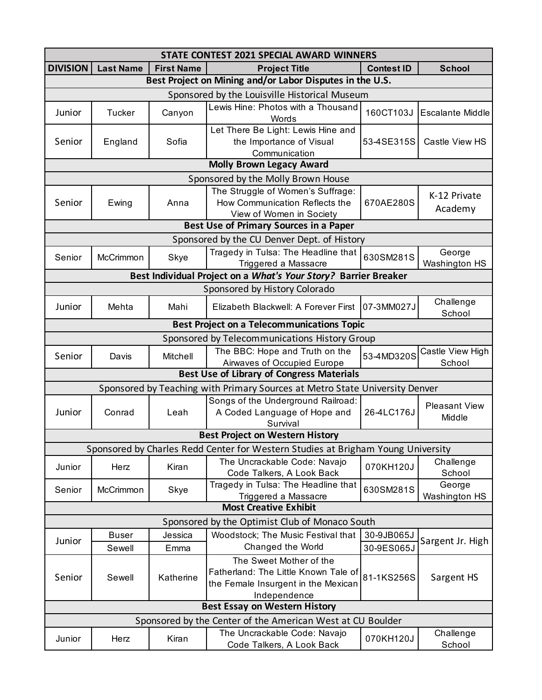| STATE CONTEST 2021 SPECIAL AWARD WINNERS                                         |                  |                   |                                                                                                                        |                   |                                |  |  |  |  |
|----------------------------------------------------------------------------------|------------------|-------------------|------------------------------------------------------------------------------------------------------------------------|-------------------|--------------------------------|--|--|--|--|
| <b>DIVISION</b>                                                                  | <b>Last Name</b> | <b>First Name</b> | <b>Project Title</b>                                                                                                   | <b>Contest ID</b> | <b>School</b>                  |  |  |  |  |
| Best Project on Mining and/or Labor Disputes in the U.S.                         |                  |                   |                                                                                                                        |                   |                                |  |  |  |  |
| Sponsored by the Louisville Historical Museum                                    |                  |                   |                                                                                                                        |                   |                                |  |  |  |  |
| Junior                                                                           | <b>Tucker</b>    | Canyon            | Lewis Hine: Photos with a Thousand<br>Words                                                                            | 160CT103J         | <b>Escalante Middle</b>        |  |  |  |  |
| Senior                                                                           | England          | Sofia             | Let There Be Light: Lewis Hine and<br>the Importance of Visual<br>Communication                                        | 53-4SE315S        | Castle View HS                 |  |  |  |  |
|                                                                                  |                  |                   | <b>Molly Brown Legacy Award</b>                                                                                        |                   |                                |  |  |  |  |
| Sponsored by the Molly Brown House                                               |                  |                   |                                                                                                                        |                   |                                |  |  |  |  |
|                                                                                  |                  |                   | The Struggle of Women's Suffrage:                                                                                      |                   |                                |  |  |  |  |
| Senior                                                                           | Ewing            | Anna              | How Communication Reflects the<br>View of Women in Society                                                             | 670AE280S         | K-12 Private<br>Academy        |  |  |  |  |
| Best Use of Primary Sources in a Paper                                           |                  |                   |                                                                                                                        |                   |                                |  |  |  |  |
| Sponsored by the CU Denver Dept. of History                                      |                  |                   |                                                                                                                        |                   |                                |  |  |  |  |
| Senior                                                                           | McCrimmon        | Skye              | Tragedy in Tulsa: The Headline that<br>Triggered a Massacre                                                            | 630SM281S         | George<br>Washington HS        |  |  |  |  |
| Best Individual Project on a What's Your Story? Barrier Breaker                  |                  |                   |                                                                                                                        |                   |                                |  |  |  |  |
|                                                                                  |                  |                   | Sponsored by History Colorado                                                                                          |                   |                                |  |  |  |  |
| Junior                                                                           | Mehta            | Mahi              | Elizabeth Blackwell: A Forever First                                                                                   | 07-3MM027J        | Challenge<br>School            |  |  |  |  |
|                                                                                  |                  |                   | <b>Best Project on a Telecommunications Topic</b>                                                                      |                   |                                |  |  |  |  |
| Sponsored by Telecommunications History Group                                    |                  |                   |                                                                                                                        |                   |                                |  |  |  |  |
| Senior                                                                           | Davis            | Mitchell          | The BBC: Hope and Truth on the<br>Airwaves of Occupied Europe                                                          | 53-4MD320S        | Castle View High<br>School     |  |  |  |  |
| <b>Best Use of Library of Congress Materials</b>                                 |                  |                   |                                                                                                                        |                   |                                |  |  |  |  |
| Sponsored by Teaching with Primary Sources at Metro State University Denver      |                  |                   |                                                                                                                        |                   |                                |  |  |  |  |
| Junior                                                                           | Conrad           | Leah              | Songs of the Underground Railroad:<br>A Coded Language of Hope and<br>Survival                                         | 26-4LC176J        | <b>Pleasant View</b><br>Middle |  |  |  |  |
| <b>Best Project on Western History</b>                                           |                  |                   |                                                                                                                        |                   |                                |  |  |  |  |
| Sponsored by Charles Redd Center for Western Studies at Brigham Young University |                  |                   |                                                                                                                        |                   |                                |  |  |  |  |
| Junior                                                                           | Herz             | Kiran             | The Uncrackable Code: Navajo<br>Code Talkers, A Look Back                                                              | 070KH120J         | Challenge<br>School            |  |  |  |  |
| Senior                                                                           | McCrimmon        | Skye              | Tragedy in Tulsa: The Headline that<br>Triggered a Massacre                                                            | 630SM281S         | George<br>Washington HS        |  |  |  |  |
| <b>Most Creative Exhibit</b>                                                     |                  |                   |                                                                                                                        |                   |                                |  |  |  |  |
| Sponsored by the Optimist Club of Monaco South                                   |                  |                   |                                                                                                                        |                   |                                |  |  |  |  |
|                                                                                  | <b>Buser</b>     | Jessica           | Woodstock; The Music Festival that                                                                                     | 30-9JB065J        |                                |  |  |  |  |
| Junior                                                                           | Sewell           | Emma              | Changed the World                                                                                                      | 30-9ES065J        | Sargent Jr. High               |  |  |  |  |
| Senior                                                                           | Sewell           | Katherine         | The Sweet Mother of the<br>Fatherland: The Little Known Tale of<br>the Female Insurgent in the Mexican<br>Independence | 81-1KS256S        | Sargent HS                     |  |  |  |  |
| <b>Best Essay on Western History</b>                                             |                  |                   |                                                                                                                        |                   |                                |  |  |  |  |
| Sponsored by the Center of the American West at CU Boulder                       |                  |                   |                                                                                                                        |                   |                                |  |  |  |  |
| Junior                                                                           | Herz             | Kiran             | The Uncrackable Code: Navajo<br>Code Talkers, A Look Back                                                              | 070KH120J         | Challenge<br>School            |  |  |  |  |